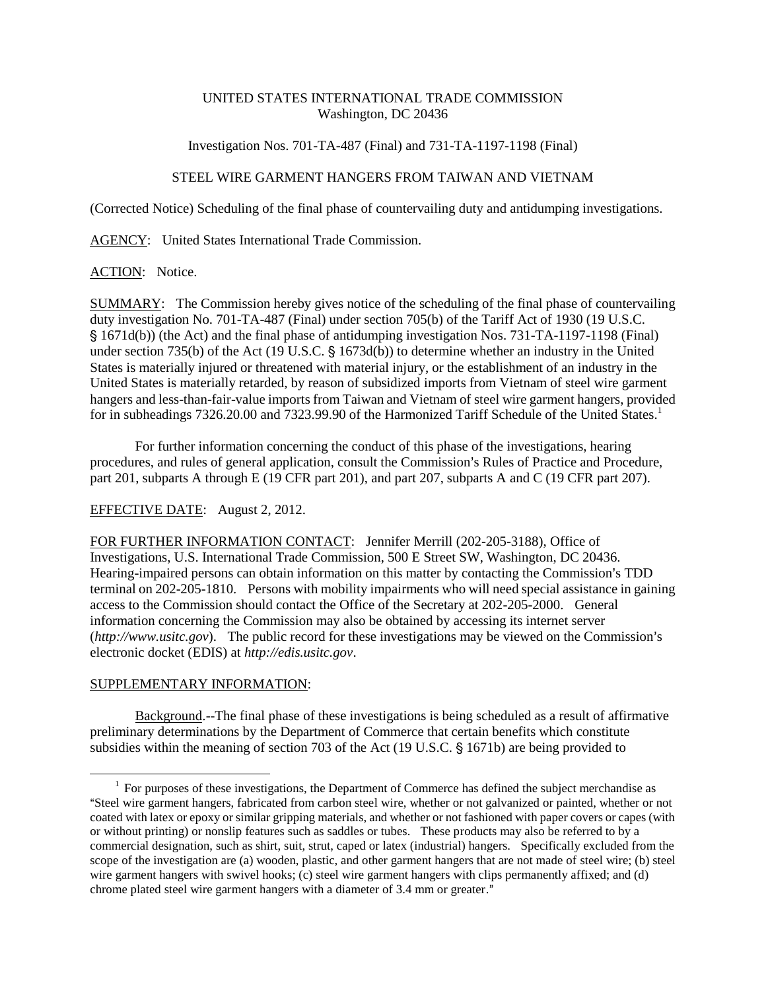### UNITED STATES INTERNATIONAL TRADE COMMISSION Washington, DC 20436

Investigation Nos. 701-TA-487 (Final) and 731-TA-1197-1198 (Final)

## STEEL WIRE GARMENT HANGERS FROM TAIWAN AND VIETNAM

(Corrected Notice) Scheduling of the final phase of countervailing duty and antidumping investigations.

AGENCY: United States International Trade Commission.

#### ACTION: Notice.

SUMMARY: The Commission hereby gives notice of the scheduling of the final phase of countervailing duty investigation No. 701-TA-487 (Final) under section 705(b) of the Tariff Act of 1930 (19 U.S.C. ' 1671d(b)) (the Act) and the final phase of antidumping investigation Nos. 731-TA-1197-1198 (Final) under section 735(b) of the Act (19 U.S.C.  $\S$  1673d(b)) to determine whether an industry in the United States is materially injured or threatened with material injury, or the establishment of an industry in the United States is materially retarded, by reason of subsidized imports from Vietnam of steel wire garment hangers and less-than-fair-value imports from Taiwan and Vietnam of steel wire garment hangers, provided for in subheadings 7326.20.00 and 7323.99.90 of the Harmonized Tariff Schedule of the United States.<sup>1</sup>

For further information concerning the conduct of this phase of the investigations, hearing procedures, and rules of general application, consult the Commission's Rules of Practice and Procedure, part 201, subparts A through E (19 CFR part 201), and part 207, subparts A and C (19 CFR part 207).

# EFFECTIVE DATE: August 2, 2012.

FOR FURTHER INFORMATION CONTACT: Jennifer Merrill (202-205-3188), Office of Investigations, U.S. International Trade Commission, 500 E Street SW, Washington, DC 20436. Hearing-impaired persons can obtain information on this matter by contacting the Commission's TDD terminal on 202-205-1810. Persons with mobility impairments who will need special assistance in gaining access to the Commission should contact the Office of the Secretary at 202-205-2000. General information concerning the Commission may also be obtained by accessing its internet server  $(http://www.usitc.gov)$ . The public record for these investigations may be viewed on the Commission's electronic docket (EDIS) at *http://edis.usitc.gov*.

## SUPPLEMENTARY INFORMATION:

 $\overline{a}$ 

Background.--The final phase of these investigations is being scheduled as a result of affirmative preliminary determinations by the Department of Commerce that certain benefits which constitute subsidies within the meaning of section 703 of the Act (19 U.S.C. § 1671b) are being provided to

 $1$  For purposes of these investigations, the Department of Commerce has defined the subject merchandise as ASteel wire garment hangers, fabricated from carbon steel wire, whether or not galvanized or painted, whether or not coated with latex or epoxy or similar gripping materials, and whether or not fashioned with paper covers or capes (with or without printing) or nonslip features such as saddles or tubes. These products may also be referred to by a commercial designation, such as shirt, suit, strut, caped or latex (industrial) hangers. Specifically excluded from the scope of the investigation are (a) wooden, plastic, and other garment hangers that are not made of steel wire; (b) steel wire garment hangers with swivel hooks; (c) steel wire garment hangers with clips permanently affixed; and (d) chrome plated steel wire garment hangers with a diameter of 3.4 mm or greater."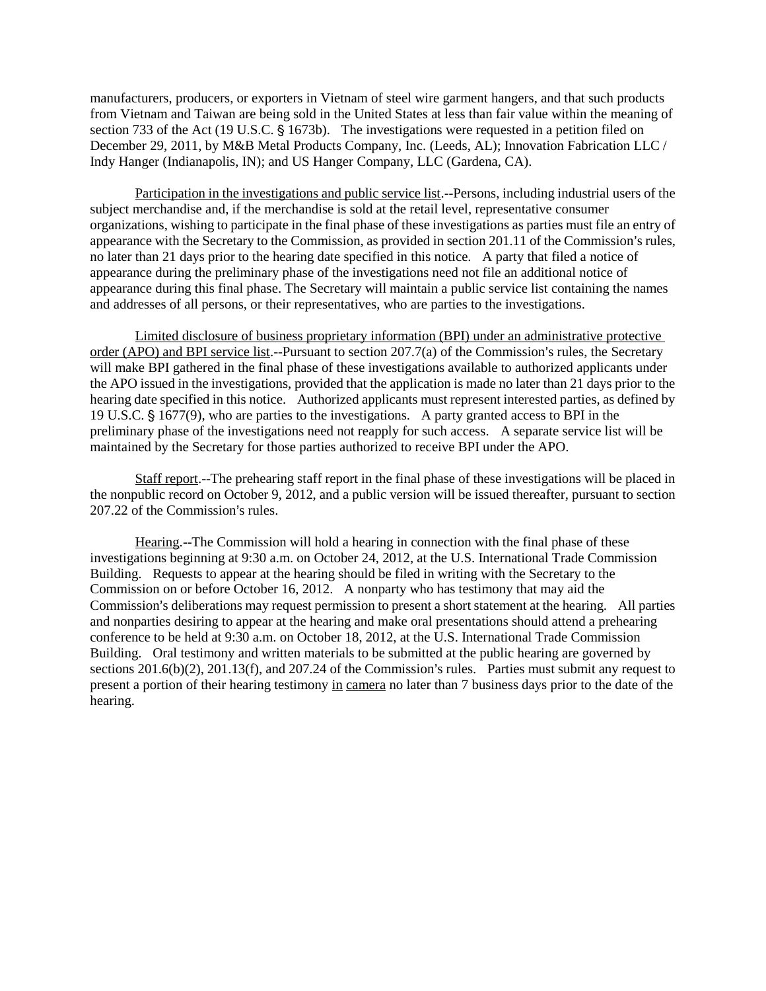manufacturers, producers, or exporters in Vietnam of steel wire garment hangers, and that such products from Vietnam and Taiwan are being sold in the United States at less than fair value within the meaning of section 733 of the Act (19 U.S.C. § 1673b). The investigations were requested in a petition filed on December 29, 2011, by M&B Metal Products Company, Inc. (Leeds, AL); Innovation Fabrication LLC / Indy Hanger (Indianapolis, IN); and US Hanger Company, LLC (Gardena, CA).

Participation in the investigations and public service list.--Persons, including industrial users of the subject merchandise and, if the merchandise is sold at the retail level, representative consumer organizations, wishing to participate in the final phase of these investigations as parties must file an entry of appearance with the Secretary to the Commission, as provided in section 201.11 of the Commission's rules, no later than 21 days prior to the hearing date specified in this notice. A party that filed a notice of appearance during the preliminary phase of the investigations need not file an additional notice of appearance during this final phase. The Secretary will maintain a public service list containing the names and addresses of all persons, or their representatives, who are parties to the investigations.

Limited disclosure of business proprietary information (BPI) under an administrative protective order (APO) and BPI service list.--Pursuant to section  $207.7(a)$  of the Commission's rules, the Secretary will make BPI gathered in the final phase of these investigations available to authorized applicants under the APO issued in the investigations, provided that the application is made no later than 21 days prior to the hearing date specified in this notice. Authorized applicants must represent interested parties, as defined by 19 U.S.C. § 1677(9), who are parties to the investigations. A party granted access to BPI in the preliminary phase of the investigations need not reapply for such access. A separate service list will be maintained by the Secretary for those parties authorized to receive BPI under the APO.

Staff report.--The prehearing staff report in the final phase of these investigations will be placed in the nonpublic record on October 9, 2012, and a public version will be issued thereafter, pursuant to section 207.22 of the Commission's rules.

Hearing.--The Commission will hold a hearing in connection with the final phase of these investigations beginning at 9:30 a.m. on October 24, 2012, at the U.S. International Trade Commission Building. Requests to appear at the hearing should be filed in writing with the Secretary to the Commission on or before October 16, 2012. A nonparty who has testimony that may aid the Commission's deliberations may request permission to present a short statement at the hearing. All parties and nonparties desiring to appear at the hearing and make oral presentations should attend a prehearing conference to be held at 9:30 a.m. on October 18, 2012, at the U.S. International Trade Commission Building. Oral testimony and written materials to be submitted at the public hearing are governed by sections  $201.6(b)(2)$ ,  $201.13(f)$ , and  $207.24$  of the Commission's rules. Parties must submit any request to present a portion of their hearing testimony in camera no later than 7 business days prior to the date of the hearing.